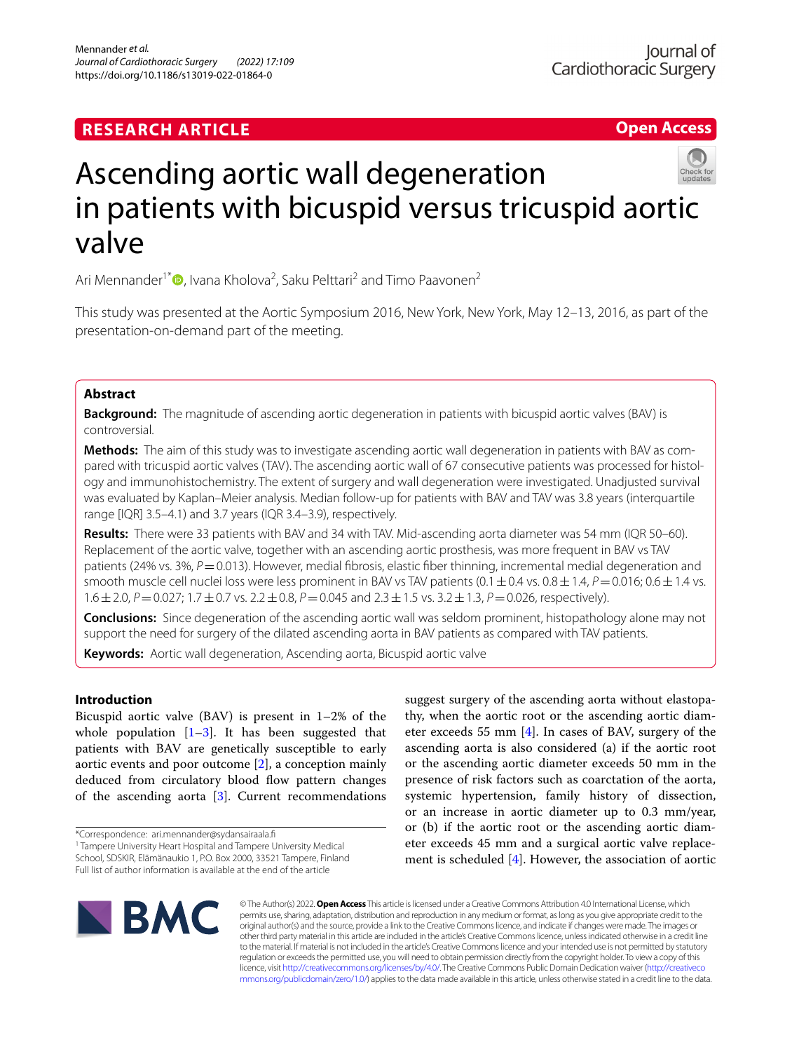# **RESEARCH ARTICLE**

**Open Access**



# Ascending aortic wall degeneration in patients with bicuspid versus tricuspid aortic valve

Ari Mennander<sup>1\*</sup><sup>®</sup>[,](http://orcid.org/0000-0001-5082-4161) Ivana Kholova<sup>2</sup>, Saku Pelttari<sup>2</sup> and Timo Paavonen<sup>2</sup>

This study was presented at the Aortic Symposium 2016, New York, New York, May 12–13, 2016, as part of the presentation-on-demand part of the meeting.

# **Abstract**

**Background:** The magnitude of ascending aortic degeneration in patients with bicuspid aortic valves (BAV) is controversial.

**Methods:** The aim of this study was to investigate ascending aortic wall degeneration in patients with BAV as compared with tricuspid aortic valves (TAV). The ascending aortic wall of 67 consecutive patients was processed for histology and immunohistochemistry. The extent of surgery and wall degeneration were investigated. Unadjusted survival was evaluated by Kaplan–Meier analysis. Median follow-up for patients with BAV and TAV was 3.8 years (interquartile range [IQR] 3.5–4.1) and 3.7 years (IQR 3.4–3.9), respectively.

**Results:** There were 33 patients with BAV and 34 with TAV. Mid-ascending aorta diameter was 54 mm (IQR 50–60). Replacement of the aortic valve, together with an ascending aortic prosthesis, was more frequent in BAV vs TAV patients (24% vs. 3%, *P*=0.013). However, medial fibrosis, elastic fiber thinning, incremental medial degeneration and smooth muscle cell nuclei loss were less prominent in BAV vs TAV patients  $(0.1\pm0.4$  vs.  $0.8\pm1.4$ ,  $P=0.016$ ;  $0.6\pm1.4$  vs. 1.6±2.0, *P*=0.027; 1.7±0.7 vs. 2.2±0.8, *P*=0.045 and 2.3±1.5 vs. 3.2±1.3, *P*=0.026, respectively).

**Conclusions:** Since degeneration of the ascending aortic wall was seldom prominent, histopathology alone may not support the need for surgery of the dilated ascending aorta in BAV patients as compared with TAV patients.

**Keywords:** Aortic wall degeneration, Ascending aorta, Bicuspid aortic valve

# **Introduction**

Bicuspid aortic valve (BAV) is present in 1–2% of the whole population  $[1-3]$  $[1-3]$  $[1-3]$ . It has been suggested that patients with BAV are genetically susceptible to early aortic events and poor outcome [\[2](#page-5-2)], a conception mainly deduced from circulatory blood flow pattern changes of the ascending aorta [\[3](#page-5-1)]. Current recommendations

<sup>1</sup> Tampere University Heart Hospital and Tampere University Medical School, SDSKIR, Elämänaukio 1, P.O. Box 2000, 33521 Tampere, Finland Full list of author information is available at the end of the article

suggest surgery of the ascending aorta without elastopathy, when the aortic root or the ascending aortic diameter exceeds 55 mm [\[4\]](#page-5-3). In cases of BAV, surgery of the ascending aorta is also considered (a) if the aortic root or the ascending aortic diameter exceeds 50 mm in the presence of risk factors such as coarctation of the aorta, systemic hypertension, family history of dissection, or an increase in aortic diameter up to 0.3 mm/year, or (b) if the aortic root or the ascending aortic diameter exceeds 45 mm and a surgical aortic valve replacement is scheduled [\[4](#page-5-3)]. However, the association of aortic



© The Author(s) 2022. **Open Access** This article is licensed under a Creative Commons Attribution 4.0 International License, which permits use, sharing, adaptation, distribution and reproduction in any medium or format, as long as you give appropriate credit to the original author(s) and the source, provide a link to the Creative Commons licence, and indicate if changes were made. The images or other third party material in this article are included in the article's Creative Commons licence, unless indicated otherwise in a credit line to the material. If material is not included in the article's Creative Commons licence and your intended use is not permitted by statutory regulation or exceeds the permitted use, you will need to obtain permission directly from the copyright holder. To view a copy of this licence, visit [http://creativecommons.org/licenses/by/4.0/.](http://creativecommons.org/licenses/by/4.0/) The Creative Commons Public Domain Dedication waiver ([http://creativeco](http://creativecommons.org/publicdomain/zero/1.0/) [mmons.org/publicdomain/zero/1.0/](http://creativecommons.org/publicdomain/zero/1.0/)) applies to the data made available in this article, unless otherwise stated in a credit line to the data.

<sup>\*</sup>Correspondence: ari.mennander@sydansairaala.f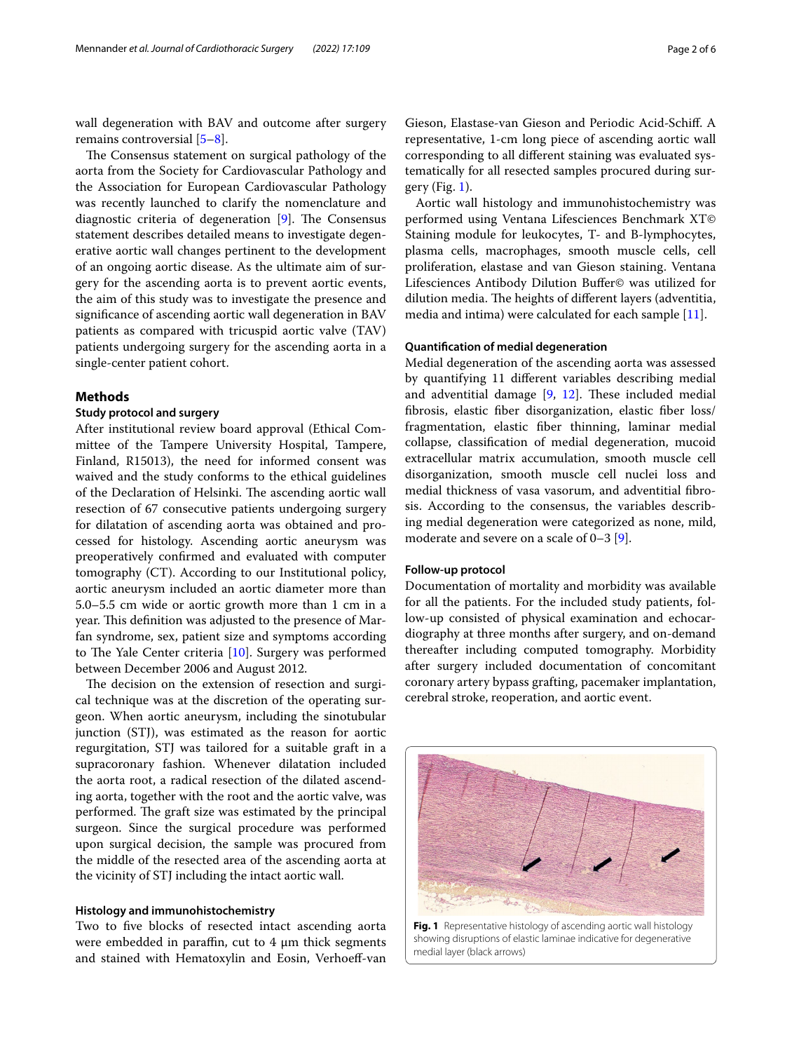wall degeneration with BAV and outcome after surgery remains controversial [\[5](#page-5-4)[–8](#page-5-5)].

The Consensus statement on surgical pathology of the aorta from the Society for Cardiovascular Pathology and the Association for European Cardiovascular Pathology was recently launched to clarify the nomenclature and diagnostic criteria of degeneration  $[9]$  $[9]$ . The Consensus statement describes detailed means to investigate degenerative aortic wall changes pertinent to the development of an ongoing aortic disease. As the ultimate aim of surgery for the ascending aorta is to prevent aortic events, the aim of this study was to investigate the presence and signifcance of ascending aortic wall degeneration in BAV patients as compared with tricuspid aortic valve (TAV) patients undergoing surgery for the ascending aorta in a single-center patient cohort.

# **Methods**

# **Study protocol and surgery**

After institutional review board approval (Ethical Committee of the Tampere University Hospital, Tampere, Finland, R15013), the need for informed consent was waived and the study conforms to the ethical guidelines of the Declaration of Helsinki. The ascending aortic wall resection of 67 consecutive patients undergoing surgery for dilatation of ascending aorta was obtained and processed for histology. Ascending aortic aneurysm was preoperatively confrmed and evaluated with computer tomography (CT). According to our Institutional policy, aortic aneurysm included an aortic diameter more than 5.0–5.5 cm wide or aortic growth more than 1 cm in a year. This definition was adjusted to the presence of Marfan syndrome, sex, patient size and symptoms according to The Yale Center criteria  $[10]$  $[10]$  $[10]$ . Surgery was performed between December 2006 and August 2012.

The decision on the extension of resection and surgical technique was at the discretion of the operating surgeon. When aortic aneurysm, including the sinotubular junction (STJ), was estimated as the reason for aortic regurgitation, STJ was tailored for a suitable graft in a supracoronary fashion. Whenever dilatation included the aorta root, a radical resection of the dilated ascending aorta, together with the root and the aortic valve, was performed. The graft size was estimated by the principal surgeon. Since the surgical procedure was performed upon surgical decision, the sample was procured from the middle of the resected area of the ascending aorta at the vicinity of STJ including the intact aortic wall.

## **Histology and immunohistochemistry**

Two to five blocks of resected intact ascending aorta were embedded in paraffin, cut to  $4 \mu m$  thick segments and stained with Hematoxylin and Eosin, Verhoeff-van

Gieson, Elastase-van Gieson and Periodic Acid-Schif. A representative, 1-cm long piece of ascending aortic wall corresponding to all diferent staining was evaluated systematically for all resected samples procured during surgery (Fig.  $1$ ).

Aortic wall histology and immunohistochemistry was performed using Ventana Lifesciences Benchmark XT© Staining module for leukocytes, T- and B-lymphocytes, plasma cells, macrophages, smooth muscle cells, cell proliferation, elastase and van Gieson staining. Ventana Lifesciences Antibody Dilution Bufer© was utilized for dilution media. The heights of different layers (adventitia, media and intima) were calculated for each sample [[11\]](#page-5-8).

# **Quantifcation of medial degeneration**

Medial degeneration of the ascending aorta was assessed by quantifying 11 diferent variables describing medial and adventitial damage  $[9, 12]$  $[9, 12]$  $[9, 12]$ . These included medial fbrosis, elastic fber disorganization, elastic fber loss/ fragmentation, elastic fber thinning, laminar medial collapse, classifcation of medial degeneration, mucoid extracellular matrix accumulation, smooth muscle cell disorganization, smooth muscle cell nuclei loss and medial thickness of vasa vasorum, and adventitial fbrosis. According to the consensus, the variables describing medial degeneration were categorized as none, mild, moderate and severe on a scale of 0–3 [[9\]](#page-5-6).

#### **Follow‑up protocol**

Documentation of mortality and morbidity was available for all the patients. For the included study patients, follow-up consisted of physical examination and echocardiography at three months after surgery, and on-demand thereafter including computed tomography. Morbidity after surgery included documentation of concomitant coronary artery bypass grafting, pacemaker implantation, cerebral stroke, reoperation, and aortic event.

<span id="page-1-0"></span>

showing disruptions of elastic laminae indicative for degenerative medial layer (black arrows)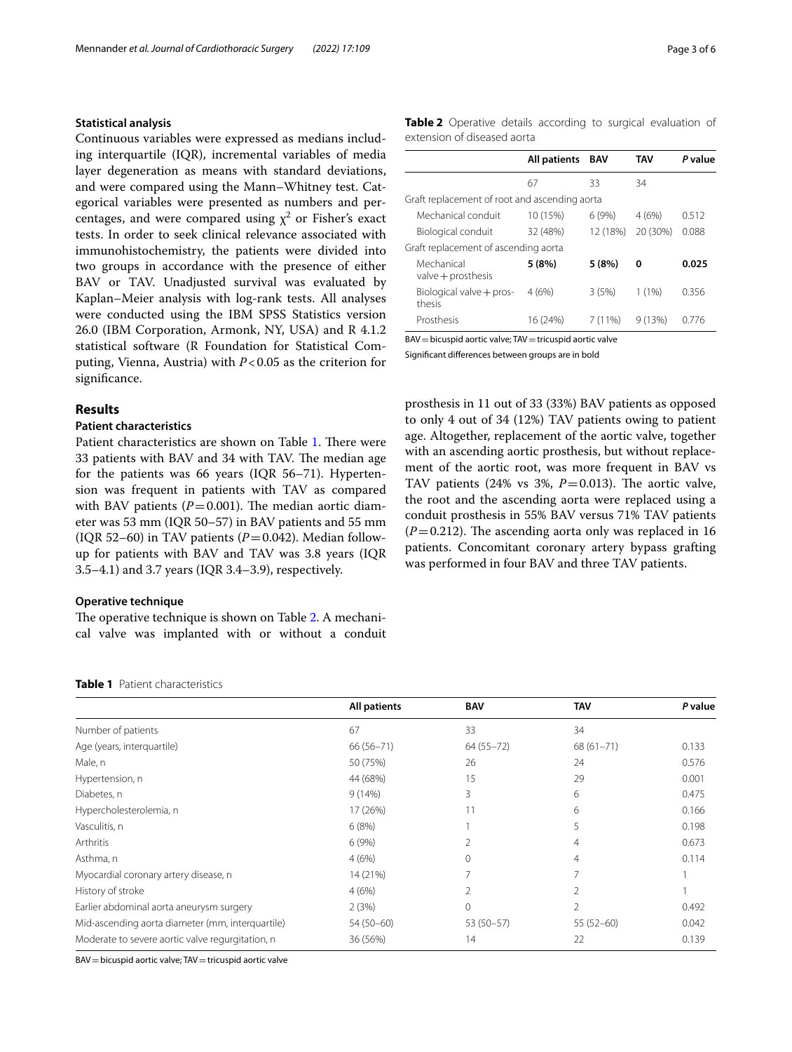# **Statistical analysis**

Continuous variables were expressed as medians including interquartile (IQR), incremental variables of media layer degeneration as means with standard deviations, and were compared using the Mann–Whitney test. Categorical variables were presented as numbers and percentages, and were compared using  $\chi^2$  or Fisher's exact tests. In order to seek clinical relevance associated with immunohistochemistry, the patients were divided into two groups in accordance with the presence of either BAV or TAV. Unadjusted survival was evaluated by Kaplan–Meier analysis with log-rank tests. All analyses were conducted using the IBM SPSS Statistics version 26.0 (IBM Corporation, Armonk, NY, USA) and R 4.1.2 statistical software (R Foundation for Statistical Computing, Vienna, Austria) with *P*<0.05 as the criterion for significance.

## **Results**

# **Patient characteristics**

Patient characteristics are shown on Table [1](#page-2-0). There were 33 patients with BAV and 34 with TAV. The median age for the patients was 66 years (IQR 56–71). Hypertension was frequent in patients with TAV as compared with BAV patients  $(P=0.001)$ . The median aortic diameter was 53 mm (IQR 50–57) in BAV patients and 55 mm (IQR 52–60) in TAV patients  $(P=0.042)$ . Median followup for patients with BAV and TAV was 3.8 years (IQR 3.5–4.1) and 3.7 years (IQR 3.4–3.9), respectively.

#### **Operative technique**

The operative technique is shown on Table [2.](#page-2-1) A mechanical valve was implanted with or without a conduit <span id="page-2-1"></span>**Table 2** Operative details according to surgical evaluation of extension of diseased aorta

|                                               | All patients | BAV      | TAV      | P value |
|-----------------------------------------------|--------------|----------|----------|---------|
|                                               | 67           | 33       | 34       |         |
| Graft replacement of root and ascending aorta |              |          |          |         |
| Mechanical conduit                            | 10 (15%)     | 6(9%)    | 4(6%)    | 0.512   |
| Biological conduit                            | 32 (48%)     | 12 (18%) | 20 (30%) | 0.088   |
| Graft replacement of ascending aorta          |              |          |          |         |
| Mechanical<br>$value + prosthesis$            | 5(8%)        | 5(8%)    | 0        | 0.025   |
| Biological valve + pros-<br>thesis            | 4(6%)        | 3(5%)    | 1(1%)    | 0.356   |
| Prosthesis                                    | 16 (24%)     | 7 (11%)  | 9(13%)   | በ 776   |

BAV = bicuspid aortic valve; TAV = tricuspid aortic valve

Signifcant diferences between groups are in bold

prosthesis in 11 out of 33 (33%) BAV patients as opposed to only 4 out of 34 (12%) TAV patients owing to patient age. Altogether, replacement of the aortic valve, together with an ascending aortic prosthesis, but without replacement of the aortic root, was more frequent in BAV vs TAV patients  $(24\% \text{ vs } 3\%, P=0.013)$ . The aortic valve, the root and the ascending aorta were replaced using a conduit prosthesis in 55% BAV versus 71% TAV patients  $(P=0.212)$ . The ascending aorta only was replaced in 16 patients. Concomitant coronary artery bypass grafting was performed in four BAV and three TAV patients.

<span id="page-2-0"></span>

| <b>Table 1</b> Patient characteristics |
|----------------------------------------|
|                                        |

|                                                  | All patients  | <b>BAV</b>    | <b>TAV</b>     | P value |
|--------------------------------------------------|---------------|---------------|----------------|---------|
| Number of patients                               | 67            | 33            | 34             |         |
| Age (years, interguartile)                       | $66(56 - 71)$ | $64(55 - 72)$ | $68(61 - 71)$  | 0.133   |
| Male, n                                          | 50 (75%)      | 26            | 24             | 0.576   |
| Hypertension, n                                  | 44 (68%)      | 15            | 29             | 0.001   |
| Diabetes, n                                      | 9(14%)        | 3             | 6              | 0.475   |
| Hypercholesterolemia, n                          | 17 (26%)      | 11            | 6              | 0.166   |
| Vasculitis, n                                    | 6(8%)         |               | 5              | 0.198   |
| Arthritis                                        | 6(9%)         | 2             | $\overline{4}$ | 0.673   |
| Asthma, n                                        | 4(6%)         | 0             | $\overline{4}$ | 0.114   |
| Myocardial coronary artery disease, n            | 14 (21%)      |               | $\overline{7}$ |         |
| History of stroke                                | 4(6%)         | 2             | $\overline{2}$ |         |
| Earlier abdominal aorta aneurysm surgery         | 2(3%)         | 0             | 2              | 0.492   |
| Mid-ascending aorta diameter (mm, interquartile) | $54(50-60)$   | 53 (50-57)    | $55(52-60)$    | 0.042   |
| Moderate to severe aortic valve regurgitation, n | 36 (56%)      | 14            | 22             | 0.139   |

BAV = bicuspid aortic valve; TAV = tricuspid aortic valve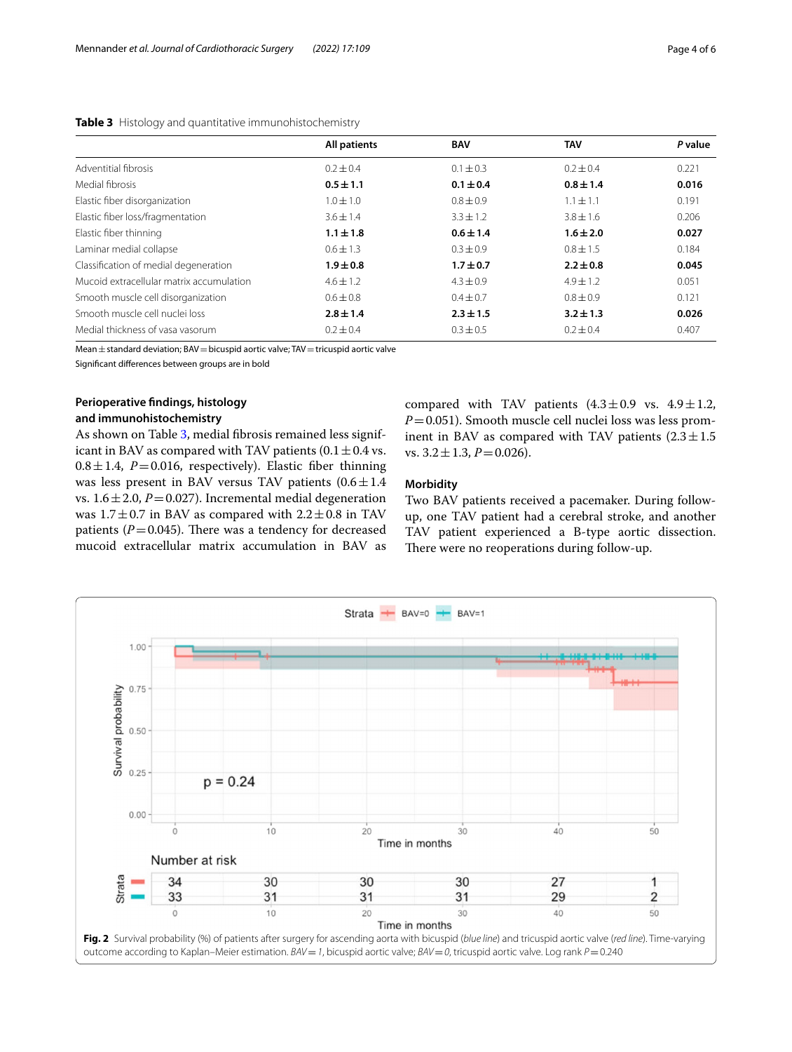<span id="page-3-0"></span>

| <b>Table 3</b> Histology and quantitative immunohistochemistry |              |               |             |                  |  |
|----------------------------------------------------------------|--------------|---------------|-------------|------------------|--|
|                                                                | All patients | <b>BAV</b>    | TAV         | P value          |  |
| Adventitial fibrosis                                           | $0.2 + 0.4$  | $0.1 \pm 0.3$ | $0.2 + 0.4$ | $0.22^{\degree}$ |  |

| Mean $\pm$ standard deviation; BAV = bicuspid aortic valve; TAV = tricuspid aortic valve |
|------------------------------------------------------------------------------------------|
|------------------------------------------------------------------------------------------|

Signifcant diferences between groups are in bold

# **Perioperative fndings, histology and immunohistochemistry**

Mucoid extracellular matrix accumulation

Elastic fber thinning **1.1±1.8 0.6±1.4 1.6±2.0 0.027**

As shown on Table [3,](#page-3-0) medial fbrosis remained less significant in BAV as compared with TAV patients (0.1  $\pm$  0.4 vs.  $0.8 \pm 1.4$ , *P*=0.016, respectively). Elastic fiber thinning was less present in BAV versus TAV patients  $(0.6 \pm 1.4)$ vs.  $1.6 \pm 2.0$ ,  $P = 0.027$ ). Incremental medial degeneration was  $1.7 \pm 0.7$  in BAV as compared with  $2.2 \pm 0.8$  in TAV patients  $(P=0.045)$ . There was a tendency for decreased mucoid extracellular matrix accumulation in BAV as compared with TAV patients  $(4.3\pm0.9 \text{ vs. } 4.9\pm1.2,$ *P*=0.051). Smooth muscle cell nuclei loss was less prominent in BAV as compared with TAV patients  $(2.3 \pm 1.5$ vs.  $3.2 \pm 1.3$ ,  $P = 0.026$ ).

# **Morbidity**

Medial fbrosis **0.5±1.1 0.1±0.4 0.8±1.4 0.016** Elastic fiber disorganization  $1.0 \pm 1.0$   $0.8 \pm 0.9$   $1.1 \pm 1.1$   $0.191$   $0.191$ Elastic fiber loss/fragmentation  $3.6 \pm 1.4$   $3.3 \pm 1.2$   $3.8 \pm 1.6$  0.206<br>
Flastic fiber thinning **0.021 11+18 0.6+14 16+20 0.027** 

Laminar medial collapse  $0.6 \pm 1.3$   $0.3 \pm 0.9$   $0.8 \pm 1.5$  0.184 Classifcation of medial degeneration **1.9±0.8 1.7±0.7 2.2±0.8 0.045**

Smooth muscle cell disorganization 0.6±0.8 0.4±0.7 0.8±0.9 0.8±0.9 0.121 Smooth muscle cell nuclei loss **2.8±1.4 2.3±1.5 3.2±1.3 0.026** Medial thickness of vasa vasorum  $0.2 \pm 0.4$   $0.3 \pm 0.5$   $0.2 \pm 0.4$  0.407

> Two BAV patients received a pacemaker. During followup, one TAV patient had a cerebral stroke, and another TAV patient experienced a B-type aortic dissection. There were no reoperations during follow-up.

<span id="page-3-1"></span>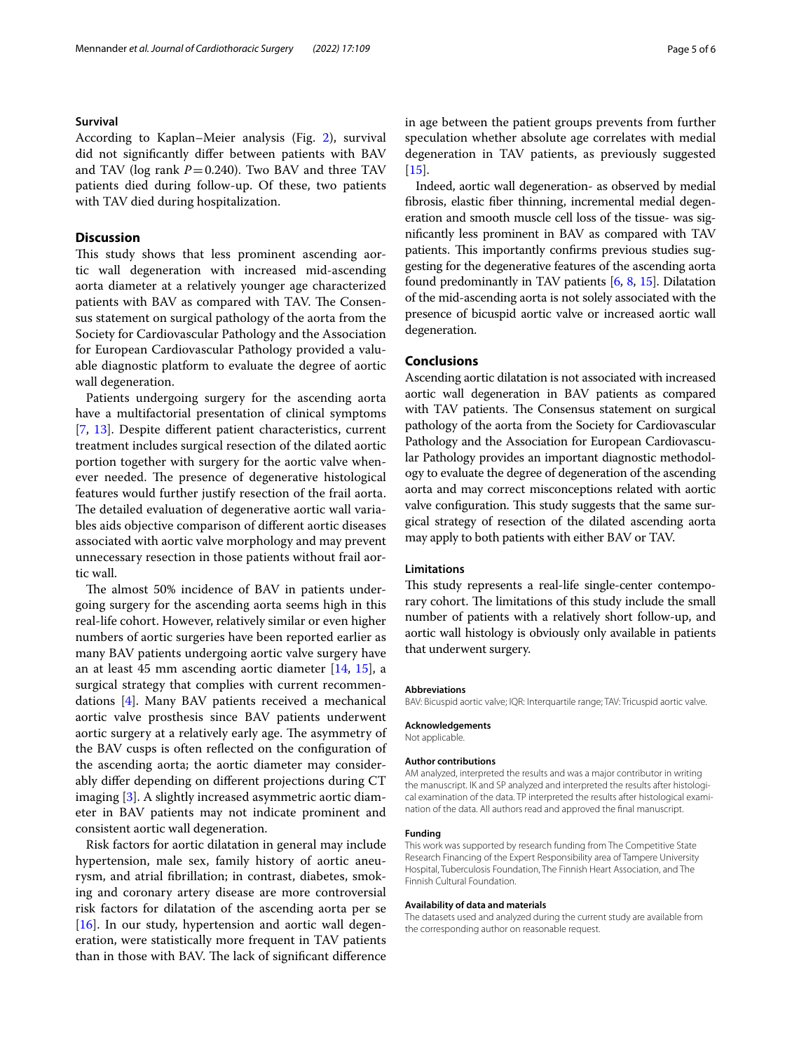### **Survival**

According to Kaplan–Meier analysis (Fig. [2\)](#page-3-1), survival did not signifcantly difer between patients with BAV and TAV ( $log$  rank  $P = 0.240$ ). Two BAV and three TAV patients died during follow-up. Of these, two patients with TAV died during hospitalization.

# **Discussion**

This study shows that less prominent ascending aortic wall degeneration with increased mid-ascending aorta diameter at a relatively younger age characterized patients with BAV as compared with TAV. The Consensus statement on surgical pathology of the aorta from the Society for Cardiovascular Pathology and the Association for European Cardiovascular Pathology provided a valuable diagnostic platform to evaluate the degree of aortic wall degeneration.

Patients undergoing surgery for the ascending aorta have a multifactorial presentation of clinical symptoms [[7,](#page-5-10) [13](#page-5-11)]. Despite diferent patient characteristics, current treatment includes surgical resection of the dilated aortic portion together with surgery for the aortic valve whenever needed. The presence of degenerative histological features would further justify resection of the frail aorta. The detailed evaluation of degenerative aortic wall variables aids objective comparison of diferent aortic diseases associated with aortic valve morphology and may prevent unnecessary resection in those patients without frail aortic wall.

The almost 50% incidence of BAV in patients undergoing surgery for the ascending aorta seems high in this real-life cohort. However, relatively similar or even higher numbers of aortic surgeries have been reported earlier as many BAV patients undergoing aortic valve surgery have an at least 45 mm ascending aortic diameter [[14,](#page-5-12) [15](#page-5-13)], a surgical strategy that complies with current recommendations [\[4](#page-5-3)]. Many BAV patients received a mechanical aortic valve prosthesis since BAV patients underwent aortic surgery at a relatively early age. The asymmetry of the BAV cusps is often refected on the confguration of the ascending aorta; the aortic diameter may considerably difer depending on diferent projections during CT imaging [\[3\]](#page-5-1). A slightly increased asymmetric aortic diameter in BAV patients may not indicate prominent and consistent aortic wall degeneration.

Risk factors for aortic dilatation in general may include hypertension, male sex, family history of aortic aneurysm, and atrial fbrillation; in contrast, diabetes, smoking and coronary artery disease are more controversial risk factors for dilatation of the ascending aorta per se [ $16$ ]. In our study, hypertension and aortic wall degeneration, were statistically more frequent in TAV patients than in those with BAV. The lack of significant difference in age between the patient groups prevents from further speculation whether absolute age correlates with medial degeneration in TAV patients, as previously suggested [[15\]](#page-5-13).

Indeed, aortic wall degeneration- as observed by medial fbrosis, elastic fber thinning, incremental medial degeneration and smooth muscle cell loss of the tissue- was signifcantly less prominent in BAV as compared with TAV patients. This importantly confirms previous studies suggesting for the degenerative features of the ascending aorta found predominantly in TAV patients [[6,](#page-5-15) [8](#page-5-5), [15\]](#page-5-13). Dilatation of the mid-ascending aorta is not solely associated with the presence of bicuspid aortic valve or increased aortic wall degeneration.

# **Conclusions**

Ascending aortic dilatation is not associated with increased aortic wall degeneration in BAV patients as compared with TAV patients. The Consensus statement on surgical pathology of the aorta from the Society for Cardiovascular Pathology and the Association for European Cardiovascular Pathology provides an important diagnostic methodology to evaluate the degree of degeneration of the ascending aorta and may correct misconceptions related with aortic valve configuration. This study suggests that the same surgical strategy of resection of the dilated ascending aorta may apply to both patients with either BAV or TAV.

# **Limitations**

This study represents a real-life single-center contemporary cohort. The limitations of this study include the small number of patients with a relatively short follow-up, and aortic wall histology is obviously only available in patients that underwent surgery.

#### **Abbreviations**

BAV: Bicuspid aortic valve; IQR: Interquartile range; TAV: Tricuspid aortic valve.

**Acknowledgements**

Not applicable.

#### **Author contributions**

AM analyzed, interpreted the results and was a major contributor in writing the manuscript. IK and SP analyzed and interpreted the results after histological examination of the data. TP interpreted the results after histological examination of the data. All authors read and approved the fnal manuscript.

#### **Funding**

This work was supported by research funding from The Competitive State Research Financing of the Expert Responsibility area of Tampere University Hospital, Tuberculosis Foundation, The Finnish Heart Association, and The Finnish Cultural Foundation.

## **Availability of data and materials**

The datasets used and analyzed during the current study are available from the corresponding author on reasonable request.